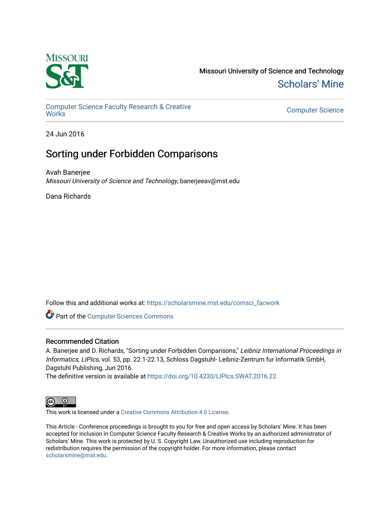

Missouri University of Science and Technology [Scholars' Mine](https://scholarsmine.mst.edu/) 

[Computer Science Faculty Research & Creative](https://scholarsmine.mst.edu/comsci_facwork) 

**Computer Science** 

24 Jun 2016

# Sorting under Forbidden Comparisons

Avah Banerjee Missouri University of Science and Technology, banerjeeav@mst.edu

Dana Richards

Follow this and additional works at: [https://scholarsmine.mst.edu/comsci\\_facwork](https://scholarsmine.mst.edu/comsci_facwork?utm_source=scholarsmine.mst.edu%2Fcomsci_facwork%2F990&utm_medium=PDF&utm_campaign=PDFCoverPages) 

**Part of the [Computer Sciences Commons](http://network.bepress.com/hgg/discipline/142?utm_source=scholarsmine.mst.edu%2Fcomsci_facwork%2F990&utm_medium=PDF&utm_campaign=PDFCoverPages)** 

# Recommended Citation

A. Banerjee and D. Richards, "Sorting under Forbidden Comparisons," Leibniz International Proceedings in Informatics, LIPIcs, vol. 53, pp. 22.1-22.13, Schloss Dagstuhl- Leibniz-Zentrum fur Informatik GmbH, Dagstuhl Publishing, Jun 2016.

The definitive version is available at <https://doi.org/10.4230/LIPIcs.SWAT.2016.22>



This work is licensed under a [Creative Commons Attribution 4.0 License](https://creativecommons.org/licenses/by/4.0/).

This Article - Conference proceedings is brought to you for free and open access by Scholars' Mine. It has been accepted for inclusion in Computer Science Faculty Research & Creative Works by an authorized administrator of Scholars' Mine. This work is protected by U. S. Copyright Law. Unauthorized use including reproduction for redistribution requires the permission of the copyright holder. For more information, please contact [scholarsmine@mst.edu.](mailto:scholarsmine@mst.edu)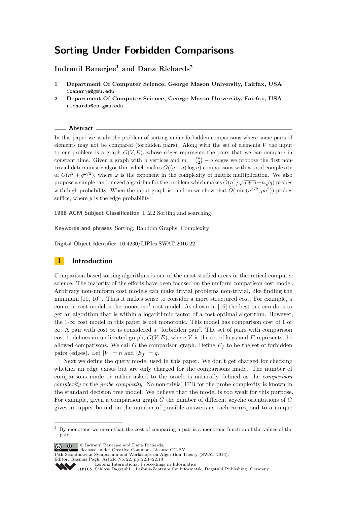# **Sorting Under Forbidden Comparisons**

**Indranil Banerjee<sup>1</sup> and Dana Richards<sup>2</sup>**

- **1 Department Of Computer Science, George Mason University, Fairfax, USA ibanerje@gmu.edu**
- **2 Department Of Computer Science, George Mason University, Fairfax, USA richards@cs.gmu.edu**

#### **Abstract**

In this paper we study the problem of sorting under forbidden comparisons where some pairs of elements may not be compared (forbidden pairs). Along with the set of elements *V* the input to our problem is a graph  $G(V, E)$ , whose edges represents the pairs that we can compare in constant time. Given a graph with *n* vertices and  $m = \binom{n}{2} - q$  edges we propose the first nontrivial deterministic algorithm which makes  $O((q+n) \log n)$  comparisons with a total complexity of  $O(n^2 + q^{\omega/2})$ , where  $\omega$  is the exponent in the complexity of matrix multiplication. We also propose a simple randomized algorithm for the problem which makes  $\widetilde{O}(n^2/\sqrt{q+n}+n\sqrt{q})$  probes with high probability. When the input graph is random we show that  $\tilde{O}(\min(n^{3/2}, pn^2))$  probes suffice, where *p* is the edge probability.

**1998 ACM Subject Classification** F.2.2 Sorting and searching

**Keywords and phrases** Sorting, Random Graphs, Complexity

**Digital Object Identifier** [10.4230/LIPIcs.SWAT.2016.22](http://dx.doi.org/10.4230/LIPIcs.SWAT.2016.22)

# **1 Introduction**

Comparison based sorting algorithms is one of the most studied areas in theoretical computer science. The majority of the efforts have been focused on the uniform comparison cost model. Arbitrary non-uniform cost models can make trivial problems non-trivial, like finding the minimum [\[10,](#page-12-0) [16\]](#page-13-0) . Thus it makes sense to consider a more structured cost. For example, a common cost model is the monotone<sup>[1](#page-1-0)</sup> cost model. As shown in [\[16\]](#page-13-0) the best one can do is to get an algorithm that is within a logarithmic factor of a cost optimal algorithm. However, the 1-∞ cost model in this paper is not monotonic. This model has comparison cost of 1 or  $\infty$ . A pair with cost  $\infty$  is considered a "forbidden pair". The set of pairs with comparison cost 1, defines an undirected graph,  $G(V, E)$ , where V is the set of keys and E represents the allowed comparisons. We call *G* the comparison graph. Define  $E_f$  to be the set of forbidden pairs (edges). Let  $|V| = n$  and  $|E_f| = q$ .

Next we define the query model used in this paper. We don't get charged for checking whether an edge exists but are only charged for the comparisons made. The number of comparisons made or rather asked to the oracle is naturally defined as the *comparison complexity* or the *probe complexity*. No non-trivial ITB for the probe complexity is known in the standard decision tree model. We believe that the model is too weak for this purpose. For example, given a comparison graph *G* the number of different acyclic orientations of *G* gives an upper bound on the number of possible answers as each correspond to a unique

© Indranil Banerjee and Dana Richards;  $\boxed{6}$  0

15th Scandinavian Symposium and Workshops on Algorithm Theory (SWAT 2016).

Editor: Rasmus Pagh; Article No. 22; pp. 22:1–22[:13](#page-13-1) [Leibniz International Proceedings in Informatics](http://www.dagstuhl.de/lipics/)

<span id="page-1-0"></span><sup>&</sup>lt;sup>1</sup> By monotone we mean that the cost of comparing a pair is a monotone function of the values of the pair.

licensed under Creative Commons License CC-BY

Leibniz International Froceedings in miormatics<br>
LIPICS [Schloss Dagstuhl – Leibniz-Zentrum für Informatik, Dagstuhl Publishing, Germany](http://www.dagstuhl.de)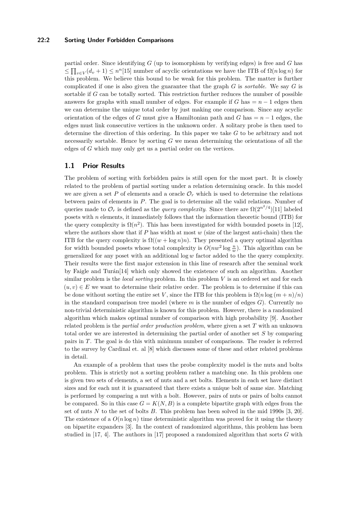#### **22:2 Sorting Under Forbidden Comparisons**

partial order. Since identifying *G* (up to isomorphism by verifying edges) is free and *G* has  $\leq \prod_{v \in V} (d_v + 1) \leq n^n$ [\[15\]](#page-13-2) number of acyclic orientations we have the ITB of  $\Omega(n \log n)$  for this problem. We believe this bound to be weak for this problem. The matter is further complicated if one is also given the guarantee that the graph *G* is *sortable*. We say *G* is sortable if *G* can be totally sorted. This restriction further reduces the number of possible answers for graphs with small number of edges. For example if  $G$  has  $= n - 1$  edges then we can determine the unique total order by just making one comparison. Since any acyclic orientation of the edges of *G* must give a Hamiltonian path and *G* has  $= n - 1$  edges, the edges must link consecutive vertices in the unknown order. A solitary probe is then used to determine the direction of this ordering. In this paper we take *G* to be arbitrary and not necessarily sortable. Hence by sorting *G* we mean determining the orientations of all the edges of *G* which may only get us a partial order on the vertices.

### **1.1 Prior Results**

The problem of sorting with forbidden pairs is still open for the most part. It is closely related to the problem of partial sorting under a relation determining oracle. In this model we are given a set P of elements and a oracle  $\mathcal{O}_r$  which is used to determine the relations between pairs of elements in *P*. The goal is to determine all the valid relations. Number of queries made to  $\mathcal{O}_r$  is defined as the *query complexity*. Since there are  $\Omega(2^{n^2/4})$ [\[11\]](#page-12-1) labeled posets with *n* elements, it immediately follows that the information theoretic bound (ITB) for the query complexity is  $\Omega(n^2)$ . This has been investigated for width bounded posets in [\[12\]](#page-13-3), where the authors show that if *P* has width at most *w* (size of the largest anti-chain) then the ITB for the query complexity is  $\Omega((w + \log n)n)$ . They presented a query optimal algorithm for width bounded posets whose total complexity is  $O(nw^2 \log \frac{n}{w})$ . This algorithm can be generalized for any poset with an additional log *w* factor added to the the query complexity. Their results were the first major extension in this line of research after the seminal work by Faigle and Turán<sup>[\[14\]](#page-13-4)</sup> which only showed the existence of such an algorithm. Another similar problem is the *local sorting* problem. In this problem *V* is an ordered set and for each  $(u, v) \in E$  we want to determine their relative order. The problem is to determine if this can be done without sorting the entire set *V*, since the ITB for this problem is  $\Omega(n \log(m+n)/n)$ in the standard comparison tree model (where *m* is the number of edges *G*). Currently no non-trivial deterministic algorithm is known for this problem. However, there is a randomized algorithm which makes optimal number of comparison with high probability [\[9\]](#page-12-2). Another related problem is the *partial order production problem*, where given a set *T* with an unknown total order we are interested in determining the partial order of another set *S* by comparing pairs in *T*. The goal is do this with minimum number of comparisons. The reader is referred to the survey by Cardinal et. al [\[8\]](#page-12-3) which discusses some of these and other related problems in detail.

An example of a problem that uses the probe complexity model is the nuts and bolts problem. This is strictly not a sorting problem rather a matching one. In this problem one is given two sets of elements, a set of nuts and a set bolts. Elements in each set have distinct sizes and for each nut it is guaranteed that there exists a unique bolt of same size. Matching is performed by comparing a nut with a bolt. However, pairs of nuts or pairs of bolts cannot be compared. So in this case  $G = K(N, B)$  is a complete bipartite graph with edges from the set of nuts *N* to the set of bolts *B*. This problem has been solved in the mid 1990s [\[3,](#page-12-4) [20\]](#page-13-5). The existence of a  $O(n \log n)$  time deterministic algorithm was proved for it using the theory on bipartite expanders [\[3\]](#page-12-4). In the context of randomized algorithms, this problem has been studied in [\[17,](#page-13-6) [4\]](#page-12-5). The authors in [\[17\]](#page-13-6) proposed a randomized algorithm that sorts *G* with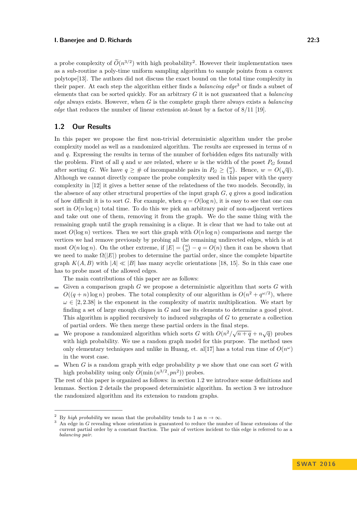a probe complexity of  $O(n^{3/2})$  $O(n^{3/2})$  $O(n^{3/2})$  with high probability<sup>2</sup>. However their implementation uses as a sub-routine a poly-time uniform sampling algorithm to sample points from a convex polytope[\[13\]](#page-13-7). The authors did not discuss the exact bound on the total time complexity in their paper. At each step the algorithm either finds a *balancing edge*[3](#page-3-1) or finds a subset of elements that can be sorted quickly. For an arbitrary *G* it is not guaranteed that a *balancing edge* always exists. However, when *G* is the complete graph there always exists a *balancing edge* that reduces the number of linear extension at-least by a factor of 8*/*11 [\[19\]](#page-13-8).

## **1.2 Our Results**

In this paper we propose the first non-trivial deterministic algorithm under the probe complexity model as well as a randomized algorithm. The results are expressed in terms of *n* and *q*. Expressing the results in terms of the number of forbidden edges fits naturally with the problem. First of all  $q$  and  $w$  are related, where  $w$  is the width of the poset  $P_G$  found after sorting *G*. We have  $q \geq \#$  of incomparable pairs in  $P_G \geq {w \choose 2}$ . Hence,  $w = O(\sqrt{q})$ . Although we cannot directly compare the probe complexity used in this paper with the query complexity in [\[12\]](#page-13-3) it gives a better sense of the relatedness of the two models. Secondly, in the absence of any other structural properties of the input graph *G*, *q* gives a good indication of how difficult it is to sort *G*. For example, when  $q = O(\log n)$ , it is easy to see that one can sort in  $O(n \log n)$  total time. To do this we pick an arbitrary pair of non-adjacent vertices and take out one of them, removing it from the graph. We do the same thing with the remaining graph until the graph remaining is a clique. It is clear that we had to take out at most  $O(\log n)$  vertices. Then we sort this graph with  $O(n \log n)$  comparisons and merge the vertices we had remove previously by probing all the remaining undirected edges, which is at most  $O(n \log n)$ . On the other extreme, if  $|E| = \binom{n}{2} - q = O(n)$  then it can be shown that we need to make  $\Omega(|E|)$  probes to determine the partial order, since the complete bipartite graph  $K(A, B)$  with  $|A| \ll |B|$  has many acyclic orientations [\[18,](#page-13-9) [15\]](#page-13-2). So in this case one has to probe most of the allowed edges.

The main contributions of this paper are as follows:

- Given a comparison graph  $G$  we propose a deterministic algorithm that sorts  $G$  with  $O((q+n)\log n)$  probes. The total complexity of our algorithm is  $O(n^2 + q^{\omega/2})$ , where  $\omega \in [2, 2.38]$  is the exponent in the complexity of matrix multiplication. We start by finding a set of large enough cliques in *G* and use its elements to determine a good pivot. This algorithm is applied recursively to induced subgraphs of *G* to generate a collection of partial orders. We then merge these partial orders in the final steps.
- We propose a randomized algorithm which sorts *G* with  $O(n^2/\sqrt{n+q} + n\sqrt{q})$  probes with high probability. We use a random graph model for this purpose. The method uses only elementary techniques and unlike in Huang, et. al<sup>[\[17\]](#page-13-6)</sup> has a total run time of  $O(n^{\omega})$ in the worst case.
- When *G* is a random graph with edge probability *p* we show that one can sort *G* with high probability using only  $\widetilde{O}(\min(n^{3/2}, pn^2))$  probes.

The rest of this paper is organized as follows: in section 1.2 we introduce some definitions and lemmas. Section 2 details the proposed deterministic algorithm. In section 3 we introduce the randomized algorithm and its extension to random graphs.

<span id="page-3-0"></span><sup>&</sup>lt;sup>2</sup> By *high probability* we mean that the probability tends to 1 as  $n \to \infty$ .

<span id="page-3-1"></span><sup>&</sup>lt;sup>3</sup> An edge in *G* revealing whose orientation is guaranteed to reduce the number of linear extensions of the current partial order by a constant fraction. The pair of vertices incident to this edge is referred to as a *balancing pair*.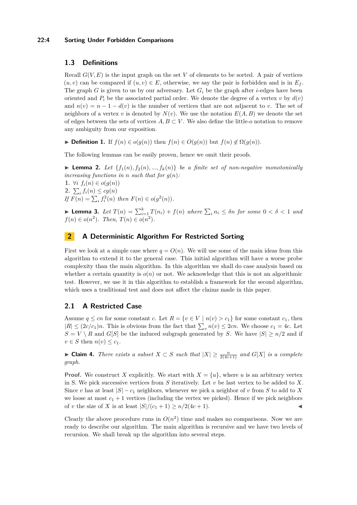#### **22:4 Sorting Under Forbidden Comparisons**

## **1.3 Definitions**

Recall  $G(V, E)$  is the input graph on the set V of elements to be sorted. A pair of vertices  $(u, v)$  can be compared if  $(u, v) \in E$ , otherwise, we say the pair is forbidden and is in  $E_f$ . The graph *G* is given to us by our adversary. Let  $G_i$  be the graph after *i*-edges have been oriented and  $P_i$  be the associated partial order. We denote the degree of a vertex *v* by  $d(v)$ and  $n(v) = n - 1 - d(v)$  is the number of vertices that are not adjacent to *v*. The set of neighbors of a vertex *v* is denoted by  $N(v)$ . We use the notation  $E(A, B)$  we denote the set of edges between the sets of vertices  $A, B \subset V$ . We also define the little-*o* notation to remove any ambiguity from our exposition.

 $\triangleright$  **Definition 1.** If *f*(*n*) ∈ *o*(*g*(*n*)) then *f*(*n*) ∈ *O*(*g*(*n*)) but *f*(*n*) ∉  $\Omega$ (*g*(*n*)).

The following lemmas can be easily proven, hence we omit their proofs.

**I Lemma 2.** Let  $\{f_1(n), f_2(n), \ldots, f_k(n)\}$  be a finite set of non-negative monotonically *increasing functions in n such that for*  $q(n)$ *:* **1.** ∀*i*  $f_i(n) \in o(g(n))$ **2.**  $\sum_{i} f_i(n) \leq c g(n)$  $If F(n) = \sum_{i} f_i^2(n) \text{ then } F(n) \in o(g^2(n)).$ 

**Example 12.** *Let*  $T(n) = \sum_{i=1}^{k} T(n_i) + f(n)$  *where*  $\sum_{i} n_i \leq \delta n$  *for some*  $0 < \delta < 1$  *and*  $f(n) \in o(n^2)$ *. Then,*  $T(n) \in o(n^2)$ *.* 

# **2 A Deterministic Algorithm For Restricted Sorting**

First we look at a simple case where  $q = O(n)$ . We will use some of the main ideas from this algorithm to extend it to the general case. This initial algorithm will have a worse probe complexity than the main algorithm. In this algorithm we shall do case analysis based on whether a certain quantity is  $o(n)$  or not. We acknowledge that this is not an algorithmic test. However, we use it in this algorithm to establish a framework for the second algorithm, which uses a traditional test and does not affect the claims made in this paper.

### **2.1 A Restricted Case**

Assume  $q \leq cn$  for some constant *c*. Let  $R = \{v \in V \mid n(v) > c_1\}$  for some constant  $c_1$ , then  $|R| \leq (2c/c_1)n$ . This is obvious from the fact that  $\sum_{v} n(v) \leq 2cn$ . We choose  $c_1 = 4c$ . Let  $S = V \setminus R$  and *G*[*S*] be the induced subgraph generated by *S*. We have  $|S| \ge n/2$  and if  $v \in S$  then  $n(v) \leq c_1$ .

► **Claim 4.** *There exists a subset*  $X \subset S$  *such that*  $|X| \geq \frac{n}{2(4c+1)}$  *and*  $G[X]$  *is a complete graph.*

**Proof.** We construct *X* explicitly. We start with  $X = \{u\}$ , where *u* is an arbitrary vertex in S. We pick successive vertices from *S* iteratively. Let *v* be last vertex to be added to *X*. Since *v* has at least  $|S| - c_1$  neighbors, whenever we pick a neighbor of *v* from *S* to add to *X* we loose at most  $c_1 + 1$  vertices (including the vertex we picked). Hence if we pick neighbors of *v* the size of *X* is at least  $|S|/(c_1 + 1) > n/2(4c + 1)$ .

Clearly the above procedure runs in  $O(n^2)$  time and makes no comparisons. Now we are ready to describe our algorithm. The main algorithm is recursive and we have two levels of recursion. We shall break up the algorithm into several steps.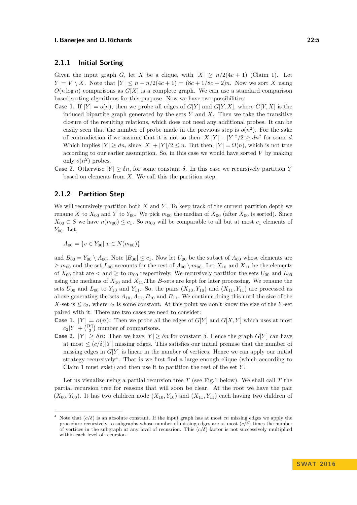## **2.1.1 Initial Sorting**

Given the input graph *G*, let *X* be a clique, with  $|X| \ge n/2(4c+1)$  (Claim 1). Let *Y* = *V* \ *X*. Note that  $|Y|$  ≤ *n* − *n*/2(4*c* + 1) = (8*c* + 1/8*c* + 2)*n*. Now we sort *X* using  $O(n \log n)$  comparisons as  $G[X]$  is a complete graph. We can use a standard comparison based sorting algorithms for this purpose. Now we have two possibilities:

- **Case 1.** If  $|Y| = o(n)$ , then we probe all edges of  $G[Y]$  and  $G[Y, X]$ , where  $G[Y, X]$  is the induced bipartite graph generated by the sets *Y* and *X*. Then we take the transitive closure of the resulting relations, which does not need any additional probes. It can be easily seen that the number of probe made in the previous step is  $o(n^2)$ . For the sake of contradiction if we assume that it is not so then  $|X||Y| + |Y|^2/2 \geq dn^2$  for some *d*. Which implies  $|Y| \geq dn$ , since  $|X| + |Y|/2 \leq n$ . But then,  $|Y| = \Omega(n)$ , which is not true according to our earlier assumption. So, in this case we would have sorted *V* by making only  $o(n^2)$  probes.
- **Case 2.** Otherwise  $|Y| \geq \delta n$ , for some constant  $\delta$ . In this case we recursively partition *Y* based on elements from *X*. We call this the partition step.

## **2.1.2 Partition Step**

We will recursively partition both *X* and *Y* . To keep track of the current partition depth we rename *X* to  $X_{00}$  and *Y* to  $Y_{00}$ . We pick  $m_{00}$  the median of  $X_{00}$  (after  $X_{00}$  is sorted). Since  $X_{00}$  ⊂ *S* we have  $n(m_{00})$  ≤  $c_1$ . So  $m_{00}$  will be comparable to all but at most  $c_1$  elements of *Y*<sub>00</sub>. Let,

 $A_{00} = \{v \in Y_{00} | v \in N(m_{00})\}$ 

and  $B_{00} = Y_{00} \setminus A_{00}$ . Note  $|B_{00}| \le c_1$ . Now let  $U_{00}$  be the subset of  $A_{00}$  whose elements are  $\geq m_{00}$  and the set  $L_{00}$  accounts for the rest of  $A_{00} \setminus m_{00}$ . Let  $X_{10}$  and  $X_{11}$  be the elements of  $X_{00}$  that are  $\lt$  and  $\geq$  to  $m_{00}$  respectively. We recursively partition the sets  $U_{00}$  and  $L_{00}$ using the medians of  $X_{10}$  and  $X_{11}$ . The *B*-sets are kept for later processing. We rename the sets  $U_{00}$  and  $L_{00}$  to  $Y_{10}$  and  $Y_{11}$ . So, the pairs  $(X_{10}, Y_{10})$  and  $(X_{11}, Y_{11})$  are processed as above generating the sets  $A_{10}, A_{11}, B_{10}$  and  $B_{11}$ . We continue doing this until the size of the *X*-set is  $\leq c_2$ , where  $c_2$  is some constant. At this point we don't know the size of the *Y*-set paired with it. There are two cases we need to consider:

**Case 1.**  $|Y| = o(n)$ : Then we probe all the edges of  $G[Y]$  and  $G[X, Y]$  which uses at most  $c_2|Y| + { |Y| \choose 2}$  number of comparisons.

**Case 2.**  $|Y| > \delta n$ : Then we have  $|Y| \geq \delta n$  for constant  $\delta$ . Hence the graph  $G[Y]$  can have at most  $\leq (c/\delta)|Y|$  missing edges. This satisfies our initial premise that the number of missing edges in  $G[Y]$  is linear in the number of vertices. Hence we can apply our initial strategy recursively<sup>[4](#page-5-0)</sup>. That is we first find a large enough clique (which according to Claim 1 must exist) and then use it to partition the rest of the set *Y* .

Let us visualize using a partial recursion tree *T* (see Fig.1 below). We shall call *T* the partial recursion tree for reasons that will soon be clear. At the root we have the pair  $(X_{00}, Y_{00})$ . It has two children node  $(X_{10}, Y_{10})$  and  $(X_{11}, Y_{11})$  each having two children of

<span id="page-5-0"></span>Note that  $(c/\delta)$  is an absolute constant. If the input graph has at most *cn* missing edges we apply the procedure recursively to subgraphs whose number of missing edges are at most  $(c/\delta)$  times the number of vertices in the subgraph at any level of recusrion. This  $(c/\delta)$  factor is not successively multiplied within each level of recursion.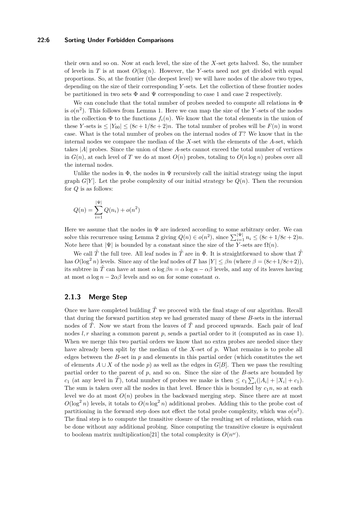#### **22:6 Sorting Under Forbidden Comparisons**

their own and so on. Now at each level, the size of the *X*-set gets halved. So, the number of levels in *T* is at most  $O(\log n)$ . However, the *Y*-sets need not get divided with equal proportions. So, at the frontier (the deepest level) we will have nodes of the above two types, depending on the size of their corresponding *Y* -sets. Let the collection of these frontier nodes be partitioned in two sets  $\Phi$  and  $\Psi$  corresponding to case 1 and case 2 respectively.

We can conclude that the total number of probes needed to compute all relations in  $\Phi$ is  $o(n^2)$ . This follows from Lemma 1. Here we can map the size of the *Y*-sets of the nodes in the collection  $\Phi$  to the functions  $f_i(n)$ . We know that the total elements in the union of these *Y*-sets is  $\leq |Y_{00}| \leq (8c + 1/8c + 2)n$ . The total number of probes will be  $F(n)$  in worst case. What is the total number of probes on the internal nodes of *T*? We know that in the internal nodes we compare the median of the *X*-set with the elements of the *A*-set, which takes |*A*| probes. Since the union of these *A*-sets cannot exceed the total number of vertices in  $G(n)$ , at each level of *T* we do at most  $O(n)$  probes, totaling to  $O(n \log n)$  probes over all the internal nodes.

Unlike the nodes in  $\Phi$ , the nodes in  $\Psi$  recursively call the initial strategy using the input graph  $G[Y]$ . Let the probe complexity of our initial strategy be  $Q(n)$ . Then the recursion for *Q* is as follows:

$$
Q(n) = \sum_{i=1}^{|\Psi|} Q(n_i) + o(n^2)
$$

Here we assume that the nodes in  $\Psi$  are indexed according to some arbitrary order. We can solve this recurrence using Lemma 2 giving  $Q(n) \in o(n^2)$ , since  $\sum_{i=1}^{|\Psi|} n_i \leq (8c + 1/8c + 2)n$ . Note here that  $|\Psi|$  is bounded by a constant since the size of the *Y*-sets are  $\Omega(n)$ .

We call  $\hat{T}$  the full tree. All leaf nodes in  $\hat{T}$  are in  $\Phi$ . It is straightforward to show that  $\hat{T}$ has  $O(\log^2 n)$  levels. Since any of the leaf nodes of *T* has  $|Y| \leq \beta n$  (where  $\beta = (8c+1/8c+2)$ ), its subtree in  $\hat{T}$  can have at most  $\alpha \log \beta n = \alpha \log n - \alpha \beta$  levels, and any of its leaves having at most  $\alpha \log n - 2\alpha\beta$  levels and so on for some constant  $\alpha$ .

# **2.1.3 Merge Step**

Once we have completed building  $\hat{T}$  we proceed with the final stage of our algorithm. Recall that during the forward partition step we had generated many of these *B*-sets in the internal nodes of  $\hat{T}$ . Now we start from the leaves of  $\hat{T}$  and proceed upwards. Each pair of leaf nodes *l, r* sharing a common parent *p*, sends a partial order to it (computed as in case 1). When we merge this two partial orders we know that no extra probes are needed since they have already been split by the median of the *X*-set of *p*. What remains is to probe all edges between the *B*-set in *p* and elements in this partial order (which constitutes the set of elements  $A \cup X$  of the node *p*) as well as the edges in  $G[B]$ . Then we pass the resulting partial order to the parent of *p*, and so on. Since the size of the *B*-sets are bounded by *c*<sub>1</sub> (at any level in  $\hat{T}$ ), total number of probes we make is then  $\leq c_1 \sum_i (|A_i| + |X_i| + c_1)$ . The sum is taken over all the nodes in that level. Hence this is bounded by  $c_1n$ , so at each level we do at most  $O(n)$  probes in the backward merging step. Since there are at most  $O(\log^2 n)$  levels, it totals to  $O(n \log^2 n)$  additional probes. Adding this to the probe cost of partitioning in the forward step does not effect the total probe complexity, which was  $o(n^2)$ . The final step is to compute the transitive closure of the resulting set of relations, which can be done without any additional probing. Since computing the transitive closure is equivalent to boolean matrix multiplication<sup>[\[21\]](#page-13-10)</sup> the total complexity is  $O(n^{\omega})$ .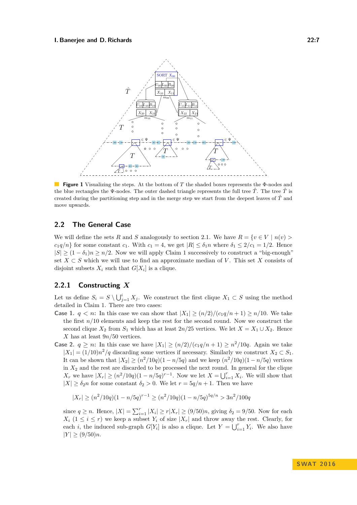

**Figure 1** Visualizing the steps. At the bottom of *T* the shaded boxes represents the Φ-nodes and the blue rectangles the Ψ-nodes. The outer dashed triangle represents the full tree  $\hat{T}$ . The tree  $\hat{T}$  is created during the partitioning step and in the merge step we start from the deepest leaves of  $\hat{T}$  and move upwards.

## **2.2 The General Case**

We will define the sets *R* and *S* analogously to section 2.1. We have  $R = \{v \in V \mid n(v) > 0\}$  $c_1q/n$  for some constant  $c_1$ . With  $c_1 = 4$ , we get  $|R| \leq \delta_1 n$  where  $\delta_1 \leq 2/c_1 = 1/2$ . Hence  $|S| \geq (1 - \delta_1)n \geq n/2$ . Now we will apply Claim 1 successively to construct a "big-enough" set  $X \subset S$  which we will use to find an approximate median of V. This set X consists of disjoint subsets  $X_i$  such that  $G[X_i]$  is a clique.

# **2.2.1 Constructing** *X*

Let us define  $S_i = S \setminus \bigcup_{j=1}^i X_j$ . We construct the first clique  $X_1 \subset S$  using the method detailed in Claim 1. There are two cases:

- **Case 1.**  $q < n$ : In this case we can show that  $|X_1| \geq (n/2)/(c_1q/n + 1) \geq n/10$ . We take the first *n/*10 elements and keep the rest for the second round. Now we construct the second clique  $X_2$  from  $S_1$  which has at least  $2n/25$  vertices. We let  $X = X_1 \cup X_2$ . Hence *X* has at least 9*n/*50 vertices.
- **Case 2.**  $q \ge n$ : In this case we have  $|X_1| \ge (n/2)/(c_1q/n + 1) \ge n^2/10q$ . Again we take  $|X_1| = (1/10)n^2/q$  discarding some vertices if necessary. Similarly we construct  $X_2 \subset S_1$ . It can be shown that  $|X_2| \ge (n^2/10q)(1 - n/5q)$  and we keep  $(n^2/10q)(1 - n/5q)$  vertices in  $X_2$  and the rest are discarded to be processed the next round. In general for the clique *X*<sup>*r*</sup> we have  $|X_r| \ge (n^2/10q)(1 - n/5q)^{r-1}$ . Now we let  $X = \bigcup_{i=1}^r X_i$ . We will show that  $|X| \geq \delta_2 n$  for some constant  $\delta_2 > 0$ . We let  $r = 5q/n + 1$ . Then we have

$$
|X_r| \ge (n^2/10q)(1 - n/5q)^{r-1} \ge (n^2/10q)(1 - n/5q)^{5q/n} > 3n^2/100q
$$

since  $q \ge n$ . Hence,  $|X| = \sum_{i=1}^{r} |X_i| \ge r |X_r| \ge (9/50)n$ , giving  $\delta_2 = 9/50$ . Now for each  $X_i$  ( $1 \leq i \leq r$ ) we keep a subset  $Y_i$  of size  $|X_r|$  and throw away the rest. Clearly, for each *i*, the induced sub-graph  $G[Y_i]$  is also a clique. Let  $Y = \bigcup_{i=1}^r Y_i$ . We also have  $|Y| \ge (9/50)n$ .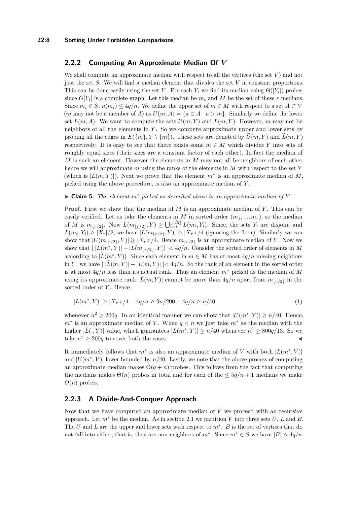#### **22:8 Sorting Under Forbidden Comparisons**

### **2.2.2 Computing An Approximate Median Of** *V*

We shall compute an approximate median with respect to all the vertices (the set *V* ) and not just the set *S*. We will find a median element that divides the set *V* in constant proportions. This can be done easily using the set *Y*. For each  $Y_i$  we find its median using  $\Theta(|Y_i|)$  probes since  $G[Y_i]$  is a complete graph. Let this median be  $m_i$  and M be the set of these r medians. Since  $m_i \in S$ ,  $n(m_i) \leq 4q/n$ . We define the upper set of  $m \in M$  with respect to a set  $A \subset V$ (*m* may not be a member of *A*) as  $U(m, A) = \{a \in A \mid a > m\}$ . Similarly we define the lower set  $L(m, A)$ . We want to compute the sets  $U(m, Y)$  and  $L(m, Y)$ . However, *m* may not be neighbors of all the elements in *Y* . So we compute approximate upper and lower sets by probing all the edges in  $E(\{m\}, Y \setminus \{m\})$ . These sets are denoted by  $\tilde{U}(m, Y)$  and  $\tilde{L}(m, Y)$ respectively. It is easy to see that there exists some  $m \in M$  which divides Y into sets of roughly equal sizes (their sizes are a constant factor of each other). In fact the median of *M* is such an element. However the elements in *M* may not all be neighbors of each other hence we will approximate *m* using the ranks of the elements in *M* with respect to the set *Y* (which is  $|\tilde{L}(m, Y)|$ ). Next we prove that the element  $m^*$  is an approximate median of *M*, picked using the above procedure, is also an approximate median of *Y* .

#### $\triangleright$  **Claim 5.** *The element*  $m^*$  *picked as described above is an approximate median of*  $Y$ .

**Proof.** First we show that the median of *M* is an approximate median of *Y* . This can be easily verified. Let us take the elements in  $M$  in sorted order  $(m_1, ..., m_r)$ , so the median of *M* is  $m_{\lfloor r/2 \rfloor}$ . Now  $L(m_{\lfloor r/2 \rfloor}, Y) \ge \bigcup_{i=1}^{\lfloor r/2 \rfloor} L(m_i, Y_i)$ . Since, the sets  $Y_i$  are disjoint and  $L(m_i, Y_i) \geq |X_r|/2$ , we have  $|L(m_{\lfloor r/2 \rfloor}, Y)| \geq |X_r|/4$  (ignoring the floor). Similarly we can show that  $|U(m_{\lfloor r/2\rfloor}, Y)| \geq |X_r|r/4$ . Hence  $m_{\lfloor r/2\rfloor}$  is an approximate median of *Y*. Now we show that  $| |L(m^*, Y)| - |L(m_{\lfloor r/2 \rfloor}, Y)| | < 4q/n$ . Consider the sorted order of elements in *M* according to  $|\tilde{L}(m^*, Y)|$ . Since each element in  $m \in M$  has at most  $4q/n$  missing neighbors in *Y*, we have  $|L(m, Y)| - |L(m, Y)| < 4q/n$ . So the rank of an element in the sorted order is at most 4*q/n* less than its actual rank. Thus an element *m*<sup>∗</sup> picked as the median of *M* using its approximate rank  $|L(m, Y)|$  cannot be more than  $4q/n$  apart from  $m_{\lfloor r/2 \rfloor}$  in the sorted order of *Y* . Hence

$$
|L(m^*,Y)| \ge |X_r|r/4 - 4q/n \ge 9n/200 - 4q/n \ge n/40
$$
\n(1)

whenever  $n^2 \ge 200q$ . In an identical manner we can show that  $|U(m^*, Y)| \ge n/40$ . Hence, *m*<sup>∗</sup> is an approximate median of *Y*. When *q* < *n* we just take  $m$ <sup>∗</sup> as the median with the higher  $|\tilde{L}(\cdot, Y)|$  value, which guarantees  $|L(m^*, Y)| \ge n/40$  whenever  $n^2 \ge 800q/13$ . So we take  $n^2 \geq 200q$  to cover both the cases.

It immediately follows that  $m^*$  is also an approximate median of *V* with both  $|L(m^*, V)|$ and  $|U(m^*, V)|$  lower bounded by  $n/40$ . Lastly, we note that the above process of computing an approximate median makes  $\Theta(q+n)$  probes. This follows from the fact that computing the medians makes  $\Theta(n)$  probes in total and for each of the  $\leq 5q/n+1$  medians we make *O*(*n*) probes.

## **2.2.3 A Divide-And-Conquer Approach**

Now that we have computed an approximate median of *V* we proceed with an recursive approach. Let  $m^*$  be the median. As in section 2.1 we partition *V* into three sets  $U, L$  and  $B$ . The *U* and *L* are the upper and lower sets with respect to *m*<sup>∗</sup> . *B* is the set of vertices that do not fall into either, that is, they are non-neighbors of  $m^*$ . Since  $m^* \in S$  we have  $|B| \leq 4q/n$ .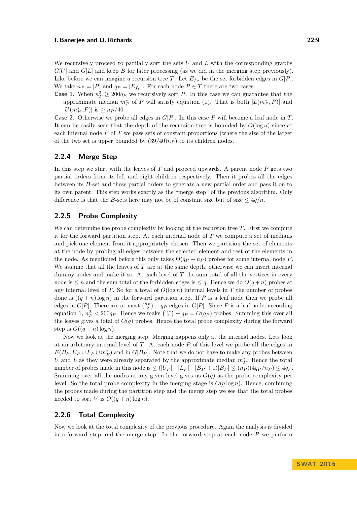We recursively proceed to partially sort the sets *U* and *L* with the corresponding graphs  $G[U]$  and  $G[L]$  and keep *B* for later processing (as we did in the merging step previously). Like before we can imagine a recursion tree *T*. Let  $E_{f_P}$  be the set forbidden edges in  $G[P]$ . We take  $n_P = |P|$  and  $q_P = |E_{f_P}|$ . For each node  $P \in T$  there are two cases:

**Case 1.** When  $n_P^2 \geq 200q_P$  we recursively sort *P*. In this case we can guarantee that the approximate median  $m_P^*$  of *P* will satisfy equation (1). That is both  $|L(m_P^*, P)|$  and  $|U(m_P^*, P)|$  is  $\geq n_P/40$ .

**Case 2.** Otherwise we probe all edges in *G*[*P*]. In this case *P* will become a leaf node in *T*. It can be easily seen that the depth of the recursion tree is bounded by  $O(\log n)$  since at each internal node *P* of *T* we pass sets of constant proportions (where the size of the larger of the two set is upper bounded by  $(39/40)n<sub>P</sub>$  to its children nodes.

# **2.2.4 Merge Step**

In this step we start with the leaves of *T* and proceed upwards. A parent node *P* gets two partial orders from its left and right children respectively. Then it probes all the edges between its *B*-set and these partial orders to generate a new partial order and pass it on to its own parent. This step works exactly as the "merge step" of the previous algorithm. Only difference is that the *B*-sets here may not be of constant size but of size  $\leq 4q/n$ .

## **2.2.5 Probe Complexity**

We can determine the probe complexity by looking at the recursion tree *T*. First we compute it for the forward partition step. At each internal node of *T* we compute a set of medians and pick one element from it appropriately chosen. Then we partition the set of elements at the node by probing all edges between the selected element and rest of the elements in the node. As mentioned before this only takes  $\Theta(q_P + n_P)$  probes for some internal node P. We assume that all the leaves of *T* are at the same depth, otherwise we can insert internal dummy nodes and make it so. At each level of *T* the sum total of all the vertices in every node is  $\leq n$  and the sum total of the forbidden edges is  $\leq q$ . Hence we do  $O(q+n)$  probes at any internal level of *T*. So for a total of  $O(\log n)$  internal levels in *T* the number of probes done is  $((q + n) \log n)$  in the forward partition step. If P is a leaf node then we probe all edges in  $G[P]$ . There are at most  $\binom{n_P}{2} - q_P$  edges in  $G[P]$ . Since P is a leaf node, according equation 1,  $n_P^2 < 200q_P$ . Hence we make  $\binom{n_P}{2} - q_P = O(q_P)$  probes. Summing this over all the leaves gives a total of  $O(q)$  probes. Hence the total probe complexity during the forward step is  $O((q+n) \log n)$ .

Now we look at the merging step. Merging happens only at the internal nodes. Lets look at an arbitrary internal level of *T*. At each node *P* of this level we probe all the edges in  $E(B_P, U_P \cup L_P \cup m_P^*)$  and in  $G[B_P]$ . Note that we do not have to make any probes between *U* and *L* as they were already separated by the approximate median  $m_P^*$ . Hence the total number of probes made in this node is  $\leq (|U_P|+|L_P|+|B_P|+1)|B_P| \leq (n_P)(4q_P/n_P) \leq 4q_P$ . Summing over all the nodes at any given level gives us  $O(q)$  as the probe complexity per level. So the total probe complexity in the merging stage is  $O(q \log n)$ . Hence, combining the probes made during the partition step and the merge step we see that the total probes needed to sort *V* is  $O((q+n) \log n)$ .

### **2.2.6 Total Complexity**

Now we look at the total complexity of the previous procedure. Again the analysis is divided into forward step and the merge step. In the forward step at each node *P* we perform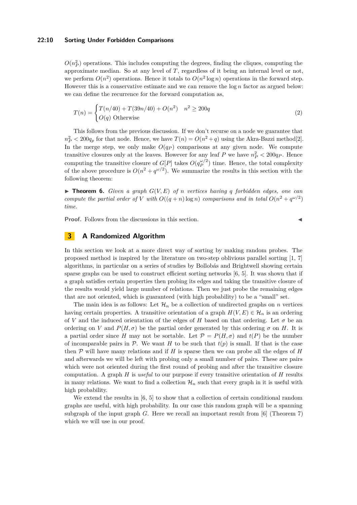#### **22:10 Sorting Under Forbidden Comparisons**

 $O(n_P^2)$  operations. This includes computing the degrees, finding the cliques, computing the approximate median. So at any level of *T*, regardless of it being an internal level or not, we perform  $O(n^2)$  operations. Hence it totals to  $O(n^2 \log n)$  operations in the forward step. However this is a conservative estimate and we can remove the log *n* factor as argued below: we can define the recurrence for the forward computation as,

$$
T(n) = \begin{cases} T(n/40) + T(39n/40) + O(n^2) & n^2 \ge 200q \\ O(q) \text{ Otherwise} \end{cases}
$$
 (2)

This follows from the previous discussion. If we don't recurse on a node we guarantee that  $n_P^2 < 200q_p$  for that node. Hence, we have  $T(n) = O(n^2 + q)$  using the Akra-Bazzi method[\[2\]](#page-12-6). In the merge step, we only make  $O(q_P)$  comparisons at any given node. We compute transitive closures only at the leaves. However for any leaf  $P$  we have  $n_P^2 < 200q_P$ . Hence computing the transitive closure of  $G[P]$  takes  $O(q_P^{\omega/2})$  $p_P^{\omega/2}$  time. Hence, the total complexity of the above procedure is  $O(n^2 + q^{\omega/2})$ . We summarize the results in this section with the following theorem:

 $\triangleright$  **Theorem 6.** *Given a graph*  $G(V, E)$  *of n vertices having q forbidden edges, one can compute the partial order of V with*  $O((q+n)\log n)$  *comparisons and in total*  $O(n^2 + q^{\omega/2})$ *time.*

**Proof.** Follows from the discussions in this section.

# **3 A Randomized Algorithm**

In this section we look at a more direct way of sorting by making random probes. The proposed method is inspired by the literature on two-step oblivious parallel sorting [\[1,](#page-12-7) [7\]](#page-12-8) algorithms, in particular on a series of studies by Bollobás and Brightwell showing certain sparse graphs can be used to construct efficient sorting networks [\[6,](#page-12-9) [5\]](#page-12-10). It was shown that if a graph satisfies certain properties then probing its edges and taking the transitive closure of the results would yield large number of relations. Then we just probe the remaining edges that are not oriented, which is guaranteed (with high probability) to be a "small" set.

The main idea is as follows: Let  $\mathcal{H}_n$  be a collection of undirected graphs on *n* vertices having certain properties. A transitive orientation of a graph  $H(V, E) \in \mathcal{H}_n$  is an ordering of *V* and the induced orientation of the edges of *H* based on that ordering. Let  $\sigma$  be an ordering on *V* and  $P(H,\sigma)$  be the partial order generated by this ordering  $\sigma$  on *H*. It is a partial order since *H* may not be sortable. Let  $\mathcal{P} = P(H, \sigma)$  and  $t(P)$  be the number of incomparable pairs in  $P$ . We want *H* to be such that  $t(p)$  is small. If that is the case then  $\mathcal P$  will have many relations and if  $H$  is sparse then we can probe all the edges of  $H$ and afterwards we will be left with probing only a small number of pairs. These are pairs which were not oriented during the first round of probing and after the transitive closure computation. A graph *H* is *useful* to our purpose if every transitive orientation of *H* results in many relations. We want to find a collection  $\mathcal{H}_n$  such that every graph in it is useful with high probability.

We extend the results in [\[6,](#page-12-9) [5\]](#page-12-10) to show that a collection of certain conditional random graphs are useful, with high probability. In our case this random graph will be a spanning subgraph of the input graph *G*. Here we recall an important result from [\[6\]](#page-12-9) (Theorem 7) which we will use in our proof.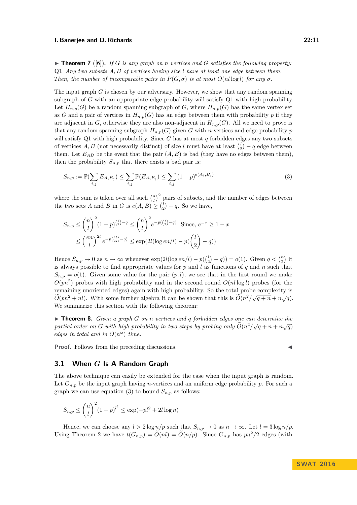$\triangleright$  **Theorem 7** ([\[6\]](#page-12-9)). If G is any graph on *n* vertices and G satisfies the following property: **Q1** *Any two subsets A, B of vertices having size l have at least one edge between them. Then, the number of incomparable pairs in*  $P(G, \sigma)$  *is at most*  $O(n \log l)$  *for any*  $\sigma$ *.* 

The input graph *G* is chosen by our adversary. However, we show that any random spanning subgraph of *G* with an appropriate edge probability will satisfy Q1 with high probability. Let  $H_{n,p}(G)$  be a random spanning subgraph of *G*, where  $H_{n,p}(G)$  has the same vertex set as *G* and a pair of vertices in  $H_{n,p}(G)$  has an edge between them with probability *p* if they are adjacent in *G*, otherwise they are also non-adjacent in  $H_{n,p}(G)$ . All we need to prove is that any random spanning subgraph  $H_{n,p}(G)$  given *G* with *n*-vertices and edge probability *p* will satisfy Q1 with high probability. Since *G* has at most *q* forbidden edges any two subsets of vertices  $A, B$  (not necessarily distinct) of size *l* must have at least  $\binom{l}{2} - q$  edge between them. Let  $E_{AB}$  be the event that the pair  $(A, B)$  is bad (they have no edges between them), then the probability  $S_{n,p}$  that there exists a bad pair is:

$$
S_{n,p} := \mathbb{P}(\sum_{i,j} E_{A_i B_j}) \le \sum_{i,j} \mathbb{P}(E_{A_i B_j}) \le \sum_{i,j} (1-p)^{e(A_i, B_j)} \tag{3}
$$

where the sum is taken over all such  $\binom{n}{l}^2$  pairs of subsets, and the number of edges between the two sets *A* and *B* in *G* is  $e(A, B) \geq {l \choose 2} - q$ . So we have,

$$
S_{n,p} \le {n \choose l}^2 (1-p)^{{l \choose 2}-q} \le {n \choose l}^2 e^{-p({l \choose 2}-q)} \text{ Since, } e^{-x} \ge 1-x
$$
  

$$
\leq \left(\frac{en}{l}\right)^{2l} e^{-p({l \choose 2}-q)} \leq \exp(2l(\log en/l) - p({l \choose 2}-q))
$$

Hence  $S_{n,p} \to 0$  as  $n \to \infty$  whenever  $\exp(2l(\log en/l) - p(\binom{l}{2} - q)) = o(1)$ . Given  $q < \binom{n}{2}$  it is always possible to find appropriate values for *p* and *l* as functions of *q* and *n* such that  $S_{n,p} = o(1)$ . Given some value for the pair  $(p, l)$ , we see that in the first round we make  $O(pn^2)$  probes with high probability and in the second round  $O(n \log l)$  probes (for the remaining unoriented edges) again with high probability. So the total probe complexity is  $\widetilde{\delta}(\ell^2 + \ell^2)$ *O*e( $pn^2 + nl$ ). With some further algebra it can be shown that this is  $\tilde{O}(n^2/\sqrt{q+n} + n\sqrt{q})$ . We summarize this section with the following theorem:

I **Theorem 8.** *Given a graph G on n vertices and q forbidden edges one can determine the partial order on G with high probability in two steps by probing only* $\tilde{O}(n^2/\sqrt{q+n}+n\sqrt{q})$ *edges in total and in*  $O(n^{\omega})$  *time.* 

**Proof.** Follows from the preceding discussions.

# **3.1 When** *G* **Is A Random Graph**

The above technique can easily be extended for the case when the input graph is random. Let  $G_{n,p}$  be the input graph having *n*-vertices and an uniform edge probability *p*. For such a graph we can use equation (3) to bound  $S_{n,p}$  as follows:

$$
S_{n,p} \le \binom{n}{l}^2 (1-p)^{l^2} \le \exp(-pl^2 + 2l \log n)
$$

Hence, we can choose any  $l > 2 \log n/p$  such that  $S_{n,p} \to 0$  as  $n \to \infty$ . Let  $l = 3 \log n/p$ . Using Theorem 2 we have  $t(G_{n,p}) = \tilde{O}(n) = \tilde{O}(n/p)$ . Since  $G_{n,p}$  has  $pn^2/2$  edges (with

$$
\blacktriangleleft
$$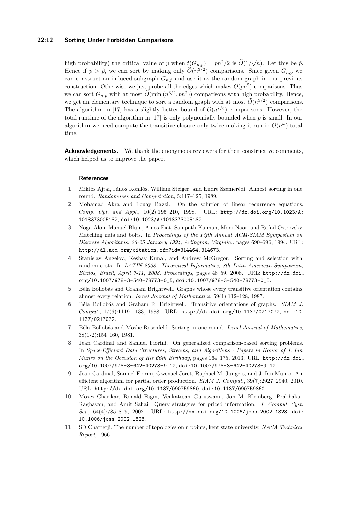#### **22:12 Sorting Under Forbidden Comparisons**

high probability) the critical value of *p* when  $t(G_{n,p}) = pn^2/2$  is  $\widetilde{O}(1/\sqrt{n})$ . Let this be  $\hat{p}$ . Hence if  $p > \hat{p}$ , we can sort by making only  $\tilde{O}(n^{3/2})$  comparisons. Since given  $G_{n,p}$  we can construct an induced subgraph  $G_{n,\hat{p}}$  and use it as the random graph in our previous construction. Otherwise we just probe all the edges which makes  $O(pn^2)$  comparisons. Thus we can sort  $G_{n,p}$  with at most  $\tilde{O}(\min(n^{3/2}, pn^2))$  comparisons with high probability. Hence, we get an elementary technique to sort a random graph with at most  $\widetilde{O}(n^{3/2})$  comparisons. The algorithm in [\[17\]](#page-13-6) has a slightly better bound of  $O(n^{7/5})$  comparisons. However, the total runtime of the algorithm in [\[17\]](#page-13-6) is only polynomially bounded when *p* is small. In our algorithm we need compute the transitive closure only twice making it run in  $O(n^{\omega})$  total time.

**Acknowledgements.** We thank the anonymous reviewers for their constructive comments, which helped us to improve the paper.

#### **References**

- <span id="page-12-7"></span>**1** Miklós Ajtai, János Komlós, William Steiger, and Endre Szemerédi. Almost sorting in one round. *Randomness and Computation*, 5:117–125, 1989.
- <span id="page-12-6"></span>**2** Mohamad Akra and Louay Bazzi. On the solution of linear recurrence equations. *Comp. Opt. and Appl.*, 10(2):195–210, 1998. URL: [http://dx.doi.org/10.1023/A:](http://dx.doi.org/10.1023/A:1018373005182) [1018373005182](http://dx.doi.org/10.1023/A:1018373005182), [doi:10.1023/A:1018373005182](http://dx.doi.org/10.1023/A:1018373005182).
- <span id="page-12-4"></span>**3** Noga Alon, Manuel Blum, Amos Fiat, Sampath Kannan, Moni Naor, and Rafail Ostrovsky. Matching nuts and bolts. In *Proceedings of the Fifth Annual ACM-SIAM Symposium on Discrete Algorithms. 23-25 January 1994, Arlington, Virginia.*, pages 690–696, 1994. URL: <http://dl.acm.org/citation.cfm?id=314464.314673>.
- <span id="page-12-5"></span>**4** Stanislav Angelov, Keshav Kunal, and Andrew McGregor. Sorting and selection with random costs. In *LATIN 2008: Theoretical Informatics, 8th Latin American Symposium, Búzios, Brazil, April 7-11, 2008, Proceedings*, pages 48–59, 2008. URL: [http://dx.doi.](http://dx.doi.org/10.1007/978-3-540-78773-0_5) [org/10.1007/978-3-540-78773-0\\_5](http://dx.doi.org/10.1007/978-3-540-78773-0_5), [doi:10.1007/978-3-540-78773-0\\_5](http://dx.doi.org/10.1007/978-3-540-78773-0_5).
- <span id="page-12-10"></span>**5** Béla Bollobás and Graham Brightwell. Graphs whose every transitive orientation contains almost every relation. *Israel Journal of Mathematics*, 59(1):112–128, 1987.
- <span id="page-12-9"></span>**6** Béla Bollobás and Graham R. Brightwell. Transitive orientations of graphs. *SIAM J. Comput.*, 17(6):1119–1133, 1988. URL: <http://dx.doi.org/10.1137/0217072>, [doi:10.](http://dx.doi.org/10.1137/0217072) [1137/0217072](http://dx.doi.org/10.1137/0217072).
- <span id="page-12-8"></span>**7** Béla Bollobás and Moshe Rosenfeld. Sorting in one round. *Israel Journal of Mathematics*, 38(1-2):154–160, 1981.
- <span id="page-12-3"></span>**8** Jean Cardinal and Samuel Fiorini. On generalized comparison-based sorting problems. In *Space-Efficient Data Structures, Streams, and Algorithms - Papers in Honor of J. Ian Munro on the Occasion of His 66th Birthday*, pages 164–175, 2013. URL: [http://dx.doi.](http://dx.doi.org/10.1007/978-3-642-40273-9_12) [org/10.1007/978-3-642-40273-9\\_12](http://dx.doi.org/10.1007/978-3-642-40273-9_12), [doi:10.1007/978-3-642-40273-9\\_12](http://dx.doi.org/10.1007/978-3-642-40273-9_12).
- <span id="page-12-2"></span>**9** Jean Cardinal, Samuel Fiorini, Gwenaël Joret, Raphaël M. Jungers, and J. Ian Munro. An efficient algorithm for partial order production. *SIAM J. Comput.*, 39(7):2927–2940, 2010. URL: <http://dx.doi.org/10.1137/090759860>, [doi:10.1137/090759860](http://dx.doi.org/10.1137/090759860).
- <span id="page-12-0"></span>**10** Moses Charikar, Ronald Fagin, Venkatesan Guruswami, Jon M. Kleinberg, Prabhakar Raghavan, and Amit Sahai. Query strategies for priced information. *J. Comput. Syst. Sci.*, 64(4):785–819, 2002. URL: <http://dx.doi.org/10.1006/jcss.2002.1828>, [doi:](http://dx.doi.org/10.1006/jcss.2002.1828) [10.1006/jcss.2002.1828](http://dx.doi.org/10.1006/jcss.2002.1828).
- <span id="page-12-1"></span>**11** SD Chatterji. The number of topologies on n points, kent state university. *NASA Technical Report*, 1966.